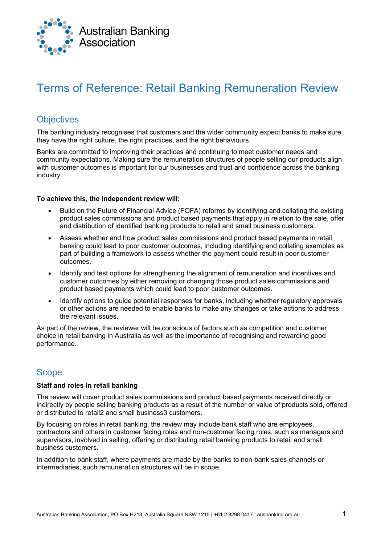

# Terms of Reference: Retail Banking Remuneration Review

# **Objectives**

The banking industry recognises that customers and the wider community expect banks to make sure they have the right culture, the right practices, and the right behaviours.

Banks are committed to improving their practices and continuing to meet customer needs and community expectations. Making sure the remuneration structures of people selling our products align with customer outcomes is important for our businesses and trust and confidence across the banking industry.

#### **To achieve this, the independent review will:**

- Build on the Future of Financial Advice (FOFA) reforms by identifying and collating the existing product sales commissions and product based payments that apply in relation to the sale, offer and distribution of identified banking products to retail and small business customers.
- Assess whether and how product sales commissions and product based payments in retail banking could lead to poor customer outcomes, including identifying and collating examples as part of building a framework to assess whether the payment could result in poor customer outcomes.
- Identify and test options for strengthening the alignment of remuneration and incentives and customer outcomes by either removing or changing those product sales commissions and product based payments which could lead to poor customer outcomes.
- Identify options to guide potential responses for banks, including whether regulatory approvals or other actions are needed to enable banks to make any changes or take actions to address the relevant issues.

As part of the review, the reviewer will be conscious of factors such as competition and customer choice in retail banking in Australia as well as the importance of recognising and rewarding good performance.

### Scope

#### **Staff and roles in retail banking**

The review will cover product sales commissions and product based payments received directly or indirectly by people selling banking products as a result of the number or value of products sold, offered or distributed to retail2 and small business3 customers.

By focusing on roles in retail banking, the review may include bank staff who are employees, contractors and others in customer facing roles and non-customer facing roles, such as managers and supervisors, involved in selling, offering or distributing retail banking products to retail and small business customers.

In addition to bank staff, where payments are made by the banks to non-bank sales channels or intermediaries, such remuneration structures will be in scope.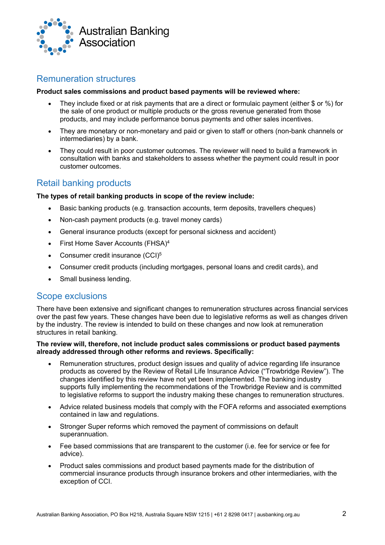

## Remuneration structures

#### **Product sales commissions and product based payments will be reviewed where:**

- They include fixed or at risk payments that are a direct or formulaic payment (either \$ or %) for the sale of one product or multiple products or the gross revenue generated from those products, and may include performance bonus payments and other sales incentives.
- They are monetary or non-monetary and paid or given to staff or others (non-bank channels or intermediaries) by a bank.
- They could result in poor customer outcomes. The reviewer will need to build a framework in consultation with banks and stakeholders to assess whether the payment could result in poor customer outcomes.

### Retail banking products

#### **The types of retail banking products in scope of the review include:**

- Basic banking products (e.g. transaction accounts, term deposits, travellers cheques)
- Non-cash payment products (e.g. travel money cards)
- General insurance products (except for personal sickness and accident)
- First Home Saver Accounts (FHSA)<sup>4</sup>
- Consumer credit insurance (CCI)<sup>5</sup>
- Consumer credit products (including mortgages, personal loans and credit cards), and
- Small business lending.

### Scope exclusions

There have been extensive and significant changes to remuneration structures across financial services over the past few years. These changes have been due to legislative reforms as well as changes driven by the industry. The review is intended to build on these changes and now look at remuneration structures in retail banking.

#### **The review will, therefore, not include product sales commissions or product based payments already addressed through other reforms and reviews. Specifically:**

- Remuneration structures, product design issues and quality of advice regarding life insurance products as covered by the Review of Retail Life Insurance Advice ("Trowbridge Review"). The changes identified by this review have not yet been implemented. The banking industry supports fully implementing the recommendations of the Trowbridge Review and is committed to legislative reforms to support the industry making these changes to remuneration structures.
- Advice related business models that comply with the FOFA reforms and associated exemptions contained in law and regulations.
- Stronger Super reforms which removed the payment of commissions on default superannuation.
- Fee based commissions that are transparent to the customer (i.e. fee for service or fee for advice).
- Product sales commissions and product based payments made for the distribution of commercial insurance products through insurance brokers and other intermediaries, with the exception of CCI.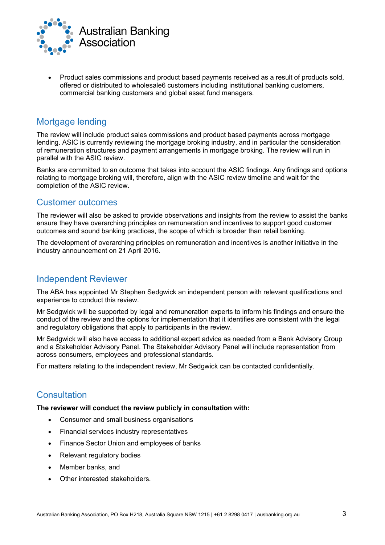

• Product sales commissions and product based payments received as a result of products sold, offered or distributed to wholesale6 customers including institutional banking customers, commercial banking customers and global asset fund managers.

# Mortgage lending

The review will include product sales commissions and product based payments across mortgage lending. ASIC is currently reviewing the mortgage broking industry, and in particular the consideration of remuneration structures and payment arrangements in mortgage broking. The review will run in parallel with the ASIC review.

Banks are committed to an outcome that takes into account the ASIC findings. Any findings and options relating to mortgage broking will, therefore, align with the ASIC review timeline and wait for the completion of the ASIC review.

### Customer outcomes

The reviewer will also be asked to provide observations and insights from the review to assist the banks ensure they have overarching principles on remuneration and incentives to support good customer outcomes and sound banking practices, the scope of which is broader than retail banking.

The development of overarching principles on remuneration and incentives is another initiative in the industry announcement on 21 April 2016.

### Independent Reviewer

The ABA has appointed Mr Stephen Sedgwick an independent person with relevant qualifications and experience to conduct this review.

Mr Sedgwick will be supported by legal and remuneration experts to inform his findings and ensure the conduct of the review and the options for implementation that it identifies are consistent with the legal and regulatory obligations that apply to participants in the review.

Mr Sedgwick will also have access to additional expert advice as needed from a Bank Advisory Group and a Stakeholder Advisory Panel. The Stakeholder Advisory Panel will include representation from across consumers, employees and professional standards.

For matters relating to the independent review, Mr Sedgwick can be contacted confidentially.

# **Consultation**

**The reviewer will conduct the review publicly in consultation with:**

- Consumer and small business organisations
- Financial services industry representatives
- Finance Sector Union and employees of banks
- Relevant regulatory bodies
- Member banks, and
- Other interested stakeholders.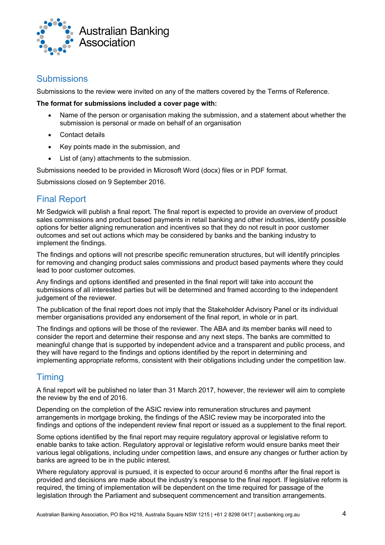

# **Submissions**

Submissions to the review were invited on any of the matters covered by the Terms of Reference.

#### **The format for submissions included a cover page with:**

- Name of the person or organisation making the submission, and a statement about whether the submission is personal or made on behalf of an organisation
- Contact details
- Key points made in the submission, and
- List of (any) attachments to the submission.

Submissions needed to be provided in Microsoft Word (docx) files or in PDF format.

Submissions closed on 9 September 2016.

# Final Report

Mr Sedgwick will publish a final report. The final report is expected to provide an overview of product sales commissions and product based payments in retail banking and other industries, identify possible options for better aligning remuneration and incentives so that they do not result in poor customer outcomes and set out actions which may be considered by banks and the banking industry to implement the findings.

The findings and options will not prescribe specific remuneration structures, but will identify principles for removing and changing product sales commissions and product based payments where they could lead to poor customer outcomes.

Any findings and options identified and presented in the final report will take into account the submissions of all interested parties but will be determined and framed according to the independent judgement of the reviewer.

The publication of the final report does not imply that the Stakeholder Advisory Panel or its individual member organisations provided any endorsement of the final report, in whole or in part.

The findings and options will be those of the reviewer. The ABA and its member banks will need to consider the report and determine their response and any next steps. The banks are committed to meaningful change that is supported by independent advice and a transparent and public process, and they will have regard to the findings and options identified by the report in determining and implementing appropriate reforms, consistent with their obligations including under the competition law.

# **Timing**

A final report will be published no later than 31 March 2017, however, the reviewer will aim to complete the review by the end of 2016.

Depending on the completion of the ASIC review into remuneration structures and payment arrangements in mortgage broking, the findings of the ASIC review may be incorporated into the findings and options of the independent review final report or issued as a supplement to the final report.

Some options identified by the final report may require regulatory approval or legislative reform to enable banks to take action. Regulatory approval or legislative reform would ensure banks meet their various legal obligations, including under competition laws, and ensure any changes or further action by banks are agreed to be in the public interest.

Where regulatory approval is pursued, it is expected to occur around 6 months after the final report is provided and decisions are made about the industry's response to the final report. If legislative reform is required, the timing of implementation will be dependent on the time required for passage of the legislation through the Parliament and subsequent commencement and transition arrangements.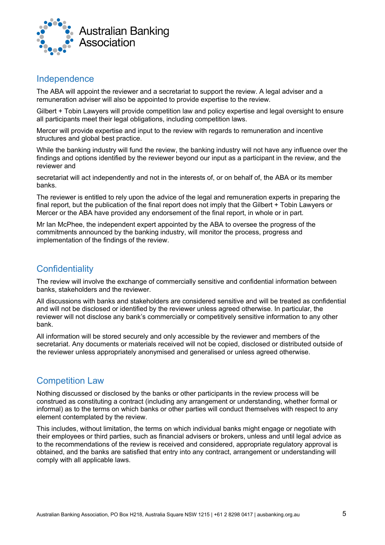

### Independence

The ABA will appoint the reviewer and a secretariat to support the review. A legal adviser and a remuneration adviser will also be appointed to provide expertise to the review.

Gilbert + Tobin Lawyers will provide competition law and policy expertise and legal oversight to ensure all participants meet their legal obligations, including competition laws.

Mercer will provide expertise and input to the review with regards to remuneration and incentive structures and global best practice.

While the banking industry will fund the review, the banking industry will not have any influence over the findings and options identified by the reviewer beyond our input as a participant in the review, and the reviewer and

secretariat will act independently and not in the interests of, or on behalf of, the ABA or its member banks.

The reviewer is entitled to rely upon the advice of the legal and remuneration experts in preparing the final report, but the publication of the final report does not imply that the Gilbert + Tobin Lawyers or Mercer or the ABA have provided any endorsement of the final report, in whole or in part.

Mr Ian McPhee, the independent expert appointed by the ABA to oversee the progress of the commitments announced by the banking industry, will monitor the process, progress and implementation of the findings of the review.

# **Confidentiality**

The review will involve the exchange of commercially sensitive and confidential information between banks, stakeholders and the reviewer.

All discussions with banks and stakeholders are considered sensitive and will be treated as confidential and will not be disclosed or identified by the reviewer unless agreed otherwise. In particular, the reviewer will not disclose any bank's commercially or competitively sensitive information to any other bank.

All information will be stored securely and only accessible by the reviewer and members of the secretariat. Any documents or materials received will not be copied, disclosed or distributed outside of the reviewer unless appropriately anonymised and generalised or unless agreed otherwise.

# Competition Law

Nothing discussed or disclosed by the banks or other participants in the review process will be construed as constituting a contract (including any arrangement or understanding, whether formal or informal) as to the terms on which banks or other parties will conduct themselves with respect to any element contemplated by the review.

This includes, without limitation, the terms on which individual banks might engage or negotiate with their employees or third parties, such as financial advisers or brokers, unless and until legal advice as to the recommendations of the review is received and considered, appropriate regulatory approval is obtained, and the banks are satisfied that entry into any contract, arrangement or understanding will comply with all applicable laws.